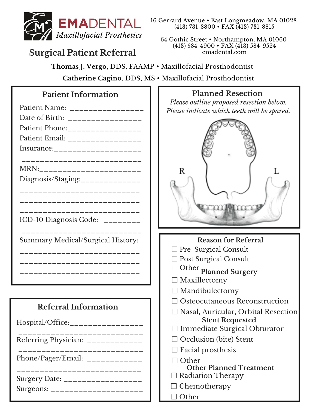

# **Surgical Patient Referral**

#### 16 Gerrard Avenue • East Longmeadow, MA 01028 (413) 731-8800 • FAX (413) 731-8815

64 Gothic Street • Northampton, MA 01060 (413) 584-4900 • FAX (413) 584-9524 emadental.com

**Thomas J. Vergo**, DDS, FAAMP • Maxillofacial Prosthodontist **Catherine Cagino**, DDS, MS • Maxillofacial Prosthodontist

## **Patient Information**

| Patient Name: _______________<br>Date of Birth: ________________<br>Patient Phone:_________________<br>Patient Email: _________________<br>Insurance:___________________ |
|--------------------------------------------------------------------------------------------------------------------------------------------------------------------------|
|                                                                                                                                                                          |
| MRN:___________________                                                                                                                                                  |
| Diagnosis/Staging:_____________                                                                                                                                          |
|                                                                                                                                                                          |
|                                                                                                                                                                          |
| ICD-10 Diagnosis Code: ________                                                                                                                                          |
| Summary Medical/Surgical History:                                                                                                                                        |
|                                                                                                                                                                          |
|                                                                                                                                                                          |
|                                                                                                                                                                          |
|                                                                                                                                                                          |

# **Referral Information**

| Hospital/Office:_________________                                |
|------------------------------------------------------------------|
| Referring Physician: ____________                                |
| Phone/Pager/Email: $\frac{1}{2}$                                 |
| Surgery Date: __________________<br>Surgeons: __________________ |

#### **Planned Resection**

*Please outline proposed resection below. Please indicate which teeth will be spared.*



| <b>Reason for Referral</b>                                                  |  |  |
|-----------------------------------------------------------------------------|--|--|
| $\Box$ Pre Surgical Consult                                                 |  |  |
| $\Box$ Post Surgical Consult                                                |  |  |
| $\Box$ Other <code>planned</code> Surgery                                   |  |  |
| $\square$ Maxillectomy                                                      |  |  |
| $\Box$ Mandibulectomy                                                       |  |  |
| $\Box$ Osteocutaneous Reconstruction                                        |  |  |
| $\Box$ Nasal, Auricular, Orbital Resection<br><b>Stent Requested</b>        |  |  |
| $\Box$ Immediate Surgical Obturator                                         |  |  |
| $\Box$ Occlusion (bite) Stent                                               |  |  |
| $\Box$ Facial prosthesis                                                    |  |  |
| $\lnot$ Other<br><b>Other Planned Treatment</b><br>$\Box$ Radiation Therapy |  |  |
| $\Box$ Chemotherapy                                                         |  |  |
|                                                                             |  |  |
| $\Box$ Other                                                                |  |  |